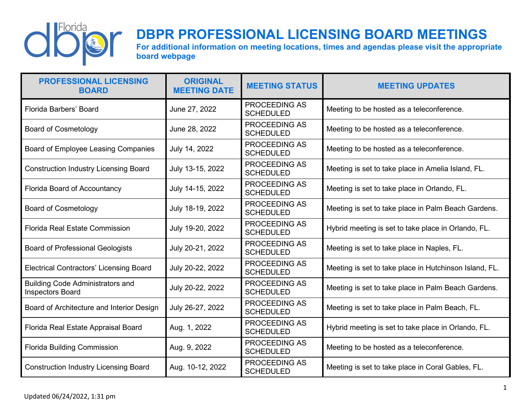

## **DBPR PROFESSIONAL LICENSING BOARD MEETINGS**

**For additional information on meeting locations, times and agendas please visit the appropriate board webpage**

| <b>PROFESSIONAL LICENSING</b><br><b>BOARD</b>                      | <b>ORIGINAL</b><br><b>MEETING DATE</b> | <b>MEETING STATUS</b>                    | <b>MEETING UPDATES</b>                                 |
|--------------------------------------------------------------------|----------------------------------------|------------------------------------------|--------------------------------------------------------|
| <b>Florida Barbers' Board</b>                                      | June 27, 2022                          | <b>PROCEEDING AS</b><br><b>SCHEDULED</b> | Meeting to be hosted as a teleconference.              |
| <b>Board of Cosmetology</b>                                        | June 28, 2022                          | <b>PROCEEDING AS</b><br><b>SCHEDULED</b> | Meeting to be hosted as a teleconference.              |
| Board of Employee Leasing Companies                                | July 14, 2022                          | <b>PROCEEDING AS</b><br><b>SCHEDULED</b> | Meeting to be hosted as a teleconference.              |
| <b>Construction Industry Licensing Board</b>                       | July 13-15, 2022                       | <b>PROCEEDING AS</b><br><b>SCHEDULED</b> | Meeting is set to take place in Amelia Island, FL.     |
| Florida Board of Accountancy                                       | July 14-15, 2022                       | <b>PROCEEDING AS</b><br><b>SCHEDULED</b> | Meeting is set to take place in Orlando, FL.           |
| <b>Board of Cosmetology</b>                                        | July 18-19, 2022                       | <b>PROCEEDING AS</b><br><b>SCHEDULED</b> | Meeting is set to take place in Palm Beach Gardens.    |
| <b>Florida Real Estate Commission</b>                              | July 19-20, 2022                       | <b>PROCEEDING AS</b><br><b>SCHEDULED</b> | Hybrid meeting is set to take place in Orlando, FL.    |
| <b>Board of Professional Geologists</b>                            | July 20-21, 2022                       | <b>PROCEEDING AS</b><br><b>SCHEDULED</b> | Meeting is set to take place in Naples, FL.            |
| <b>Electrical Contractors' Licensing Board</b>                     | July 20-22, 2022                       | <b>PROCEEDING AS</b><br><b>SCHEDULED</b> | Meeting is set to take place in Hutchinson Island, FL. |
| <b>Building Code Administrators and</b><br><b>Inspectors Board</b> | July 20-22, 2022                       | <b>PROCEEDING AS</b><br><b>SCHEDULED</b> | Meeting is set to take place in Palm Beach Gardens.    |
| Board of Architecture and Interior Design                          | July 26-27, 2022                       | <b>PROCEEDING AS</b><br><b>SCHEDULED</b> | Meeting is set to take place in Palm Beach, FL.        |
| Florida Real Estate Appraisal Board                                | Aug. 1, 2022                           | <b>PROCEEDING AS</b><br><b>SCHEDULED</b> | Hybrid meeting is set to take place in Orlando, FL.    |
| <b>Florida Building Commission</b>                                 | Aug. 9, 2022                           | <b>PROCEEDING AS</b><br><b>SCHEDULED</b> | Meeting to be hosted as a teleconference.              |
| <b>Construction Industry Licensing Board</b>                       | Aug. 10-12, 2022                       | <b>PROCEEDING AS</b><br><b>SCHEDULED</b> | Meeting is set to take place in Coral Gables, FL.      |